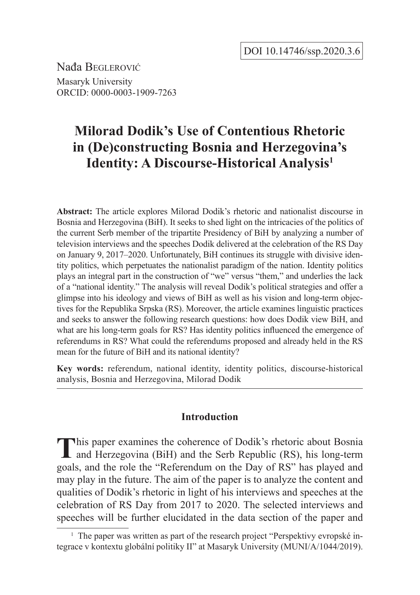Nađa Beglerović Masaryk University ORCID: 0000-0003-1909-7263

# **Milorad Dodik's Use of Contentious Rhetoric in (De)constructing Bosnia and Herzegovina's Identity: A Discourse-Historical Analysis1**

**Abstract:** The article explores Milorad Dodik's rhetoric and nationalist discourse in Bosnia and Herzegovina (BiH). It seeks to shed light on the intricacies of the politics of the current Serb member of the tripartite Presidency of BiH by analyzing a number of television interviews and the speeches Dodik delivered at the celebration of the RS Day on January 9, 2017–2020. Unfortunately, BiH continues its struggle with divisive identity politics, which perpetuates the nationalist paradigm of the nation. Identity politics plays an integral part in the construction of "we" versus "them," and underlies the lack of a "national identity." The analysis will reveal Dodik's political strategies and offer a glimpse into his ideology and views of BiH as well as his vision and long-term objectives for the Republika Srpska (RS). Moreover, the article examines linguistic practices and seeks to answer the following research questions: how does Dodik view BiH, and what are his long-term goals for RS? Has identity politics influenced the emergence of referendums in RS? What could the referendums proposed and already held in the RS mean for the future of BiH and its national identity?

**Key words:** referendum, national identity, identity politics, discourse-historical analysis, Bosnia and Herzegovina, Milorad Dodik

## **Introduction**

This paper examines the coherence of Dodik's rhetoric about Bosnia and Herzegovina (BiH) and the Serb Republic (RS), his long-term goals, and the role the "Referendum on the Day of RS" has played and may play in the future. The aim of the paper is to analyze the content and qualities of Dodik's rhetoric in light of his interviews and speeches at the celebration of RS Day from 2017 to 2020. The selected interviews and speeches will be further elucidated in the data section of the paper and

<sup>&</sup>lt;sup>1</sup> The paper was written as part of the research project "Perspektivy evropské integrace v kontextu globální politiky II" at Masaryk University (MUNI/A/1044/2019).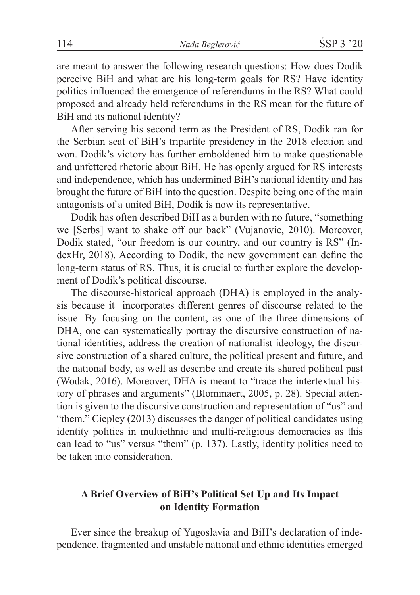are meant to answer the following research questions: How does Dodik perceive BiH and what are his long-term goals for RS? Have identity politics influenced the emergence of referendums in the RS? What could proposed and already held referendums in the RS mean for the future of BiH and its national identity?

After serving his second term as the President of RS, Dodik ran for the Serbian seat of BiH's tripartite presidency in the 2018 election and won. Dodik's victory has further emboldened him to make questionable and unfettered rhetoric about BiH. He has openly argued for RS interests and independence, which has undermined BiH's national identity and has brought the future of BiH into the question. Despite being one of the main antagonists of a united BiH, Dodik is now its representative.

Dodik has often described BiH as a burden with no future, "something we [Serbs] want to shake off our back" (Vujanovic, 2010). Moreover, Dodik stated, "our freedom is our country, and our country is RS" (IndexHr, 2018). According to Dodik, the new government can define the long-term status of RS. Thus, it is crucial to further explore the development of Dodik's political discourse.

The discourse-historical approach (DHA) is employed in the analysis because it incorporates different genres of discourse related to the issue. By focusing on the content, as one of the three dimensions of DHA, one can systematically portray the discursive construction of national identities, address the creation of nationalist ideology, the discursive construction of a shared culture, the political present and future, and the national body, as well as describe and create its shared political past (Wodak, 2016). Moreover, DHA is meant to "trace the intertextual history of phrases and arguments" (Blommaert, 2005, p. 28). Special attention is given to the discursive construction and representation of "us" and "them." Ciepley (2013) discusses the danger of political candidates using identity politics in multiethnic and multi-religious democracies as this can lead to "us" versus "them" (p. 137). Lastly, identity politics need to be taken into consideration.

# **A Brief Overview of BiH's Political Set Up and Its Impact on Identity Formation**

Ever since the breakup of Yugoslavia and BiH's declaration of independence, fragmented and unstable national and ethnic identities emerged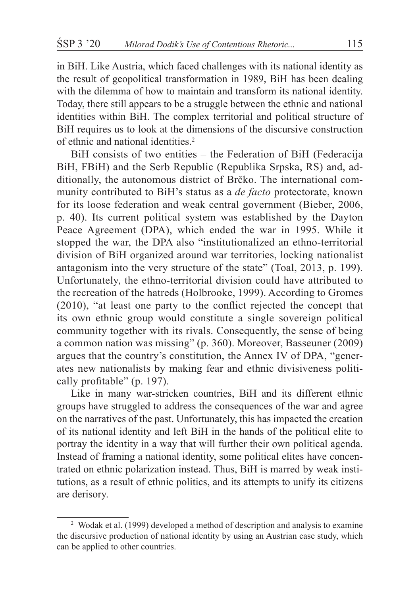in BiH. Like Austria, which faced challenges with its national identity as the result of geopolitical transformation in 1989, BiH has been dealing with the dilemma of how to maintain and transform its national identity. Today, there still appears to be a struggle between the ethnic and national identities within BiH. The complex territorial and political structure of BiH requires us to look at the dimensions of the discursive construction of ethnic and national identities.2

BiH consists of two entities – the Federation of BiH (Federacija BiH, FBiH) and the Serb Republic (Republika Srpska, RS) and, additionally, the autonomous district of Brčko. The international community contributed to BiH's status as a *de facto* protectorate, known for its loose federation and weak central government (Bieber, 2006, p. 40). Its current political system was established by the Dayton Peace Agreement (DPA), which ended the war in 1995. While it stopped the war, the DPA also "institutionalized an ethno-territorial division of BiH organized around war territories, locking nationalist antagonism into the very structure of the state" (Toal, 2013, p. 199). Unfortunately, the ethno-territorial division could have attributed to the recreation of the hatreds (Holbrooke, 1999). According to Gromes (2010), "at least one party to the conflict rejected the concept that its own ethnic group would constitute a single sovereign political community together with its rivals. Consequently, the sense of being a common nation was missing" (p. 360). Moreover, Basseuner (2009) argues that the country's constitution, the Annex IV of DPA, "generates new nationalists by making fear and ethnic divisiveness politically profitable" (p. 197).

Like in many war-stricken countries, BiH and its different ethnic groups have struggled to address the consequences of the war and agree on the narratives of the past. Unfortunately, this has impacted the creation of its national identity and left BiH in the hands of the political elite to portray the identity in a way that will further their own political agenda. Instead of framing a national identity, some political elites have concentrated on ethnic polarization instead. Thus, BiH is marred by weak institutions, as a result of ethnic politics, and its attempts to unify its citizens are derisory.

<sup>&</sup>lt;sup>2</sup> Wodak et al. (1999) developed a method of description and analysis to examine the discursive production of national identity by using an Austrian case study, which can be applied to other countries.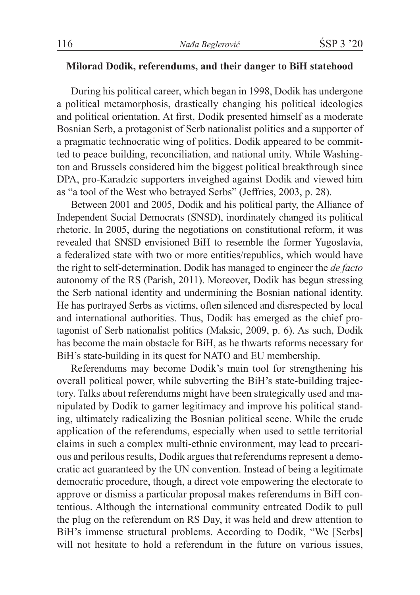# **Milorad Dodik, referendums, and their danger to BiH statehood**

During his political career, which began in 1998, Dodik has undergone a political metamorphosis, drastically changing his political ideologies and political orientation. At first, Dodik presented himself as a moderate Bosnian Serb, a protagonist of Serb nationalist politics and a supporter of a pragmatic technocratic wing of politics. Dodik appeared to be committed to peace building, reconciliation, and national unity. While Washington and Brussels considered him the biggest political breakthrough since DPA, pro-Karadzic supporters inveighed against Dodik and viewed him as "a tool of the West who betrayed Serbs" (Jeffries, 2003, p. 28).

Between 2001 and 2005, Dodik and his political party, the Alliance of Independent Social Democrats (SNSD), inordinately changed its political rhetoric. In 2005, during the negotiations on constitutional reform, it was revealed that SNSD envisioned BiH to resemble the former Yugoslavia, a federalized state with two or more entities/republics, which would have the right to self-determination. Dodik has managed to engineer the *de facto* autonomy of the RS (Parish, 2011). Moreover, Dodik has begun stressing the Serb national identity and undermining the Bosnian national identity. He has portrayed Serbs as victims, often silenced and disrespected by local and international authorities. Thus, Dodik has emerged as the chief protagonist of Serb nationalist politics (Maksic, 2009, p. 6). As such, Dodik has become the main obstacle for BiH, as he thwarts reforms necessary for BiH's state-building in its quest for NATO and EU membership.

Referendums may become Dodik's main tool for strengthening his overall political power, while subverting the BiH's state-building trajectory. Talks about referendums might have been strategically used and manipulated by Dodik to garner legitimacy and improve his political standing, ultimately radicalizing the Bosnian political scene. While the crude application of the referendums, especially when used to settle territorial claims in such a complex multi-ethnic environment, may lead to precarious and perilous results, Dodik argues that referendums represent a democratic act guaranteed by the UN convention. Instead of being a legitimate democratic procedure, though, a direct vote empowering the electorate to approve or dismiss a particular proposal makes referendums in BiH contentious. Although the international community entreated Dodik to pull the plug on the referendum on RS Day, it was held and drew attention to BiH's immense structural problems. According to Dodik, "We [Serbs] will not hesitate to hold a referendum in the future on various issues,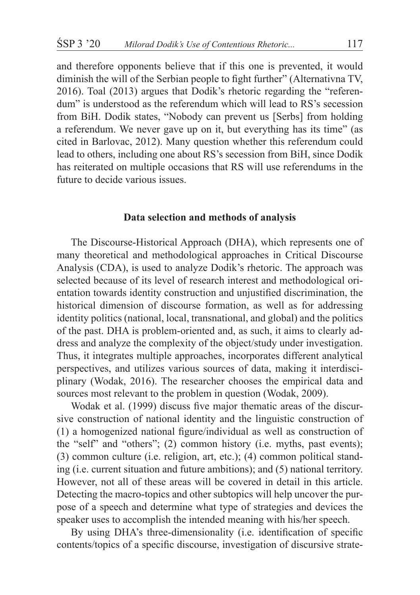and therefore opponents believe that if this one is prevented, it would diminish the will of the Serbian people to fight further" (Alternativna TV, 2016). Toal (2013) argues that Dodik's rhetoric regarding the "referendum" is understood as the referendum which will lead to RS's secession from BiH. Dodik states, "Nobody can prevent us [Serbs] from holding a referendum. We never gave up on it, but everything has its time" (as cited in Barlovac, 2012). Many question whether this referendum could lead to others, including one about RS's secession from BiH, since Dodik has reiterated on multiple occasions that RS will use referendums in the future to decide various issues.

#### **Data selection and methods of analysis**

The Discourse-Historical Approach (DHA), which represents one of many theoretical and methodological approaches in Critical Discourse Analysis (CDA), is used to analyze Dodik's rhetoric. The approach was selected because of its level of research interest and methodological orientation towards identity construction and unjustified discrimination, the historical dimension of discourse formation, as well as for addressing identity politics (national, local, transnational, and global) and the politics of the past. DHA is problem-oriented and, as such, it aims to clearly address and analyze the complexity of the object/study under investigation. Thus, it integrates multiple approaches, incorporates different analytical perspectives, and utilizes various sources of data, making it interdisciplinary (Wodak, 2016). The researcher chooses the empirical data and sources most relevant to the problem in question (Wodak, 2009).

Wodak et al. (1999) discuss five major thematic areas of the discursive construction of national identity and the linguistic construction of (1) a homogenized national figure/individual as well as construction of the "self" and "others"; (2) common history (i.e. myths, past events); (3) common culture (i.e. religion, art, etc.); (4) common political standing (i.e. current situation and future ambitions); and (5) national territory. However, not all of these areas will be covered in detail in this article. Detecting the macro-topics and other subtopics will help uncover the purpose of a speech and determine what type of strategies and devices the speaker uses to accomplish the intended meaning with his/her speech.

By using DHA's three-dimensionality (i.e. identification of specific contents/topics of a specific discourse, investigation of discursive strate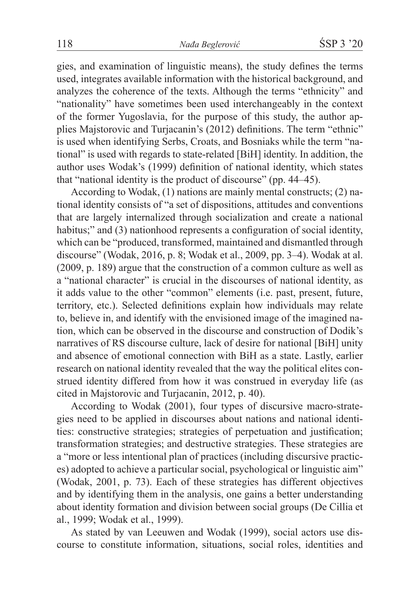gies, and examination of linguistic means), the study defines the terms used, integrates available information with the historical background, and analyzes the coherence of the texts. Although the terms "ethnicity" and "nationality" have sometimes been used interchangeably in the context of the former Yugoslavia, for the purpose of this study, the author applies Majstorovic and Turjacanin's (2012) definitions. The term "ethnic" is used when identifying Serbs, Croats, and Bosniaks while the term "national" is used with regards to state-related [BiH] identity. In addition, the author uses Wodak's (1999) definition of national identity, which states that "national identity is the product of discourse" (pp. 44–45).

According to Wodak, (1) nations are mainly mental constructs; (2) national identity consists of "a set of dispositions, attitudes and conventions that are largely internalized through socialization and create a national habitus;" and (3) nationhood represents a configuration of social identity, which can be "produced, transformed, maintained and dismantled through discourse" (Wodak, 2016, p. 8; Wodak et al., 2009, pp. 3–4). Wodak at al. (2009, p. 189) argue that the construction of a common culture as well as a "national character" is crucial in the discourses of national identity, as it adds value to the other "common" elements (i.e. past, present, future, territory, etc.). Selected definitions explain how individuals may relate to, believe in, and identify with the envisioned image of the imagined nation, which can be observed in the discourse and construction of Dodik's narratives of RS discourse culture, lack of desire for national [BiH] unity and absence of emotional connection with BiH as a state. Lastly, earlier research on national identity revealed that the way the political elites construed identity differed from how it was construed in everyday life (as cited in Majstorovic and Turjacanin, 2012, p. 40).

According to Wodak (2001), four types of discursive macro-strategies need to be applied in discourses about nations and national identities: constructive strategies; strategies of perpetuation and justification; transformation strategies; and destructive strategies. These strategies are a "more or less intentional plan of practices (including discursive practices) adopted to achieve a particular social, psychological or linguistic aim" (Wodak, 2001, p. 73). Each of these strategies has different objectives and by identifying them in the analysis, one gains a better understanding about identity formation and division between social groups (De Cillia et al., 1999; Wodak et al., 1999).

As stated by van Leeuwen and Wodak (1999), social actors use discourse to constitute information, situations, social roles, identities and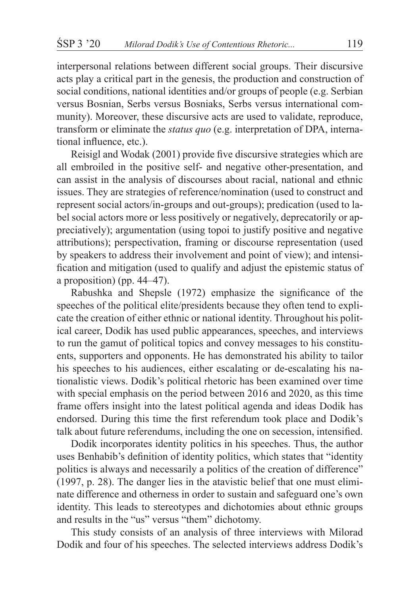interpersonal relations between different social groups. Their discursive acts play a critical part in the genesis, the production and construction of social conditions, national identities and/or groups of people (e.g. Serbian versus Bosnian, Serbs versus Bosniaks, Serbs versus international community). Moreover, these discursive acts are used to validate, reproduce, transform or eliminate the *status quo* (e.g. interpretation of DPA, international influence, etc.).

Reisigl and Wodak (2001) provide five discursive strategies which are all embroiled in the positive self- and negative other-presentation, and can assist in the analysis of discourses about racial, national and ethnic issues. They are strategies of reference/nomination (used to construct and represent social actors/in-groups and out-groups); predication (used to label social actors more or less positively or negatively, deprecatorily or appreciatively); argumentation (using topoi to justify positive and negative attributions); perspectivation, framing or discourse representation (used by speakers to address their involvement and point of view); and intensification and mitigation (used to qualify and adjust the epistemic status of a proposition) (pp. 44–47).

Rabushka and Shepsle (1972) emphasize the significance of the speeches of the political elite/presidents because they often tend to explicate the creation of either ethnic or national identity. Throughout his political career, Dodik has used public appearances, speeches, and interviews to run the gamut of political topics and convey messages to his constituents, supporters and opponents. He has demonstrated his ability to tailor his speeches to his audiences, either escalating or de-escalating his nationalistic views. Dodik's political rhetoric has been examined over time with special emphasis on the period between 2016 and 2020, as this time frame offers insight into the latest political agenda and ideas Dodik has endorsed. During this time the first referendum took place and Dodik's talk about future referendums, including the one on secession, intensified.

Dodik incorporates identity politics in his speeches. Thus, the author uses Benhabib's definition of identity politics, which states that "identity politics is always and necessarily a politics of the creation of difference" (1997, p. 28). The danger lies in the atavistic belief that one must eliminate difference and otherness in order to sustain and safeguard one's own identity. This leads to stereotypes and dichotomies about ethnic groups and results in the "us" versus "them" dichotomy.

This study consists of an analysis of three interviews with Milorad Dodik and four of his speeches. The selected interviews address Dodik's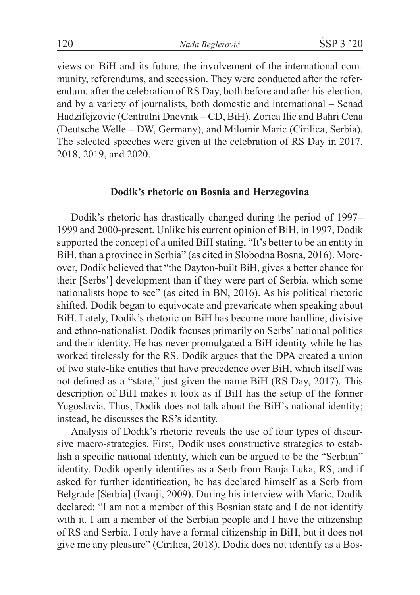views on BiH and its future, the involvement of the international community, referendums, and secession. They were conducted after the referendum, after the celebration of RS Day, both before and after his election, and by a variety of journalists, both domestic and international – Senad Hadzifejzovic (Centralni Dnevnik – CD, BiH), Zorica Ilic and Bahri Cena (Deutsche Welle – DW, Germany), and Milomir Maric (Cirilica, Serbia). The selected speeches were given at the celebration of RS Day in 2017, 2018, 2019, and 2020.

## **Dodik's rhetoric on Bosnia and Herzegovina**

Dodik's rhetoric has drastically changed during the period of 1997– 1999 and 2000-present. Unlike his current opinion of BiH, in 1997, Dodik supported the concept of a united BiH stating, "It's better to be an entity in BiH, than a province in Serbia" (as cited in Slobodna Bosna, 2016). Moreover, Dodik believed that "the Dayton-built BiH, gives a better chance for their [Serbs'] development than if they were part of Serbia, which some nationalists hope to see" (as cited in BN, 2016). As his political rhetoric shifted, Dodik began to equivocate and prevaricate when speaking about BiH. Lately, Dodik's rhetoric on BiH has become more hardline, divisive and ethno-nationalist. Dodik focuses primarily on Serbs' national politics and their identity. He has never promulgated a BiH identity while he has worked tirelessly for the RS. Dodik argues that the DPA created a union of two state-like entities that have precedence over BiH, which itself was not defined as a "state," just given the name BiH (RS Day, 2017). This description of BiH makes it look as if BiH has the setup of the former Yugoslavia. Thus, Dodik does not talk about the BiH's national identity; instead, he discusses the RS's identity.

Analysis of Dodik's rhetoric reveals the use of four types of discursive macro-strategies. First, Dodik uses constructive strategies to establish a specific national identity, which can be argued to be the "Serbian" identity. Dodik openly identifies as a Serb from Banja Luka, RS, and if asked for further identification, he has declared himself as a Serb from Belgrade [Serbia] (Ivanji, 2009). During his interview with Maric, Dodik declared: "I am not a member of this Bosnian state and I do not identify with it. I am a member of the Serbian people and I have the citizenship of RS and Serbia. I only have a formal citizenship in BiH, but it does not give me any pleasure" (Cirilica, 2018). Dodik does not identify as a Bos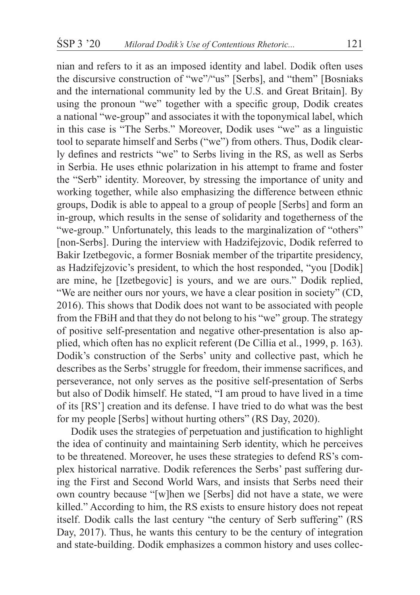nian and refers to it as an imposed identity and label. Dodik often uses the discursive construction of "we"/"us" [Serbs], and "them" [Bosniaks and the international community led by the U.S. and Great Britain]. By using the pronoun "we" together with a specific group, Dodik creates a national "we-group" and associates it with the toponymical label, which in this case is "The Serbs." Moreover, Dodik uses "we" as a linguistic tool to separate himself and Serbs ("we") from others. Thus, Dodik clearly defines and restricts "we" to Serbs living in the RS, as well as Serbs in Serbia. He uses ethnic polarization in his attempt to frame and foster the "Serb" identity. Moreover, by stressing the importance of unity and working together, while also emphasizing the difference between ethnic groups, Dodik is able to appeal to a group of people [Serbs] and form an in-group, which results in the sense of solidarity and togetherness of the "we-group." Unfortunately, this leads to the marginalization of "others" [non-Serbs]. During the interview with Hadzifejzovic, Dodik referred to Bakir Izetbegovic, a former Bosniak member of the tripartite presidency, as Hadzifejzovic's president, to which the host responded, "you [Dodik] are mine, he [Izetbegovic] is yours, and we are ours." Dodik replied, "We are neither ours nor yours, we have a clear position in society" (CD, 2016). This shows that Dodik does not want to be associated with people from the FBiH and that they do not belong to his "we" group. The strategy of positive self-presentation and negative other-presentation is also applied, which often has no explicit referent (De Cillia et al., 1999, p. 163). Dodik's construction of the Serbs' unity and collective past, which he describes as the Serbs' struggle for freedom, their immense sacrifices, and perseverance, not only serves as the positive self-presentation of Serbs but also of Dodik himself. He stated, "I am proud to have lived in a time of its [RS'] creation and its defense. I have tried to do what was the best for my people [Serbs] without hurting others" (RS Day, 2020).

Dodik uses the strategies of perpetuation and justification to highlight the idea of continuity and maintaining Serb identity, which he perceives to be threatened. Moreover, he uses these strategies to defend RS's complex historical narrative. Dodik references the Serbs' past suffering during the First and Second World Wars, and insists that Serbs need their own country because "[w]hen we [Serbs] did not have a state, we were killed." According to him, the RS exists to ensure history does not repeat itself. Dodik calls the last century "the century of Serb suffering" (RS Day, 2017). Thus, he wants this century to be the century of integration and state-building. Dodik emphasizes a common history and uses collec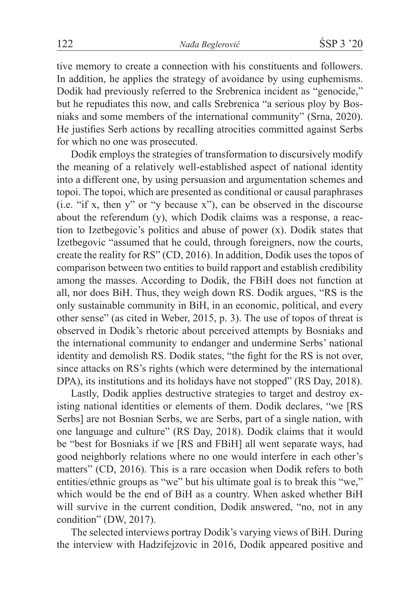tive memory to create a connection with his constituents and followers. In addition, he applies the strategy of avoidance by using euphemisms. Dodik had previously referred to the Srebrenica incident as "genocide," but he repudiates this now, and calls Srebrenica "a serious ploy by Bosniaks and some members of the international community" (Srna, 2020). He justifies Serb actions by recalling atrocities committed against Serbs for which no one was prosecuted.

Dodik employs the strategies of transformation to discursively modify the meaning of a relatively well-established aspect of national identity into a different one, by using persuasion and argumentation schemes and topoi. The topoi, which are presented as conditional or causal paraphrases (i.e. "if x, then y" or "y because x"), can be observed in the discourse about the referendum (y), which Dodik claims was a response, a reaction to Izetbegovic's politics and abuse of power (x). Dodik states that Izetbegovic "assumed that he could, through foreigners, now the courts, create the reality for RS" (CD, 2016). In addition, Dodik uses the topos of comparison between two entities to build rapport and establish credibility among the masses. According to Dodik, the FBiH does not function at all, nor does BiH. Thus, they weigh down RS. Dodik argues, "RS is the only sustainable community in BiH, in an economic, political, and every other sense" (as cited in Weber, 2015, p. 3). The use of topos of threat is observed in Dodik's rhetoric about perceived attempts by Bosniaks and the international community to endanger and undermine Serbs' national identity and demolish RS. Dodik states, "the fight for the RS is not over, since attacks on RS's rights (which were determined by the international DPA), its institutions and its holidays have not stopped" (RS Day, 2018).

Lastly, Dodik applies destructive strategies to target and destroy existing national identities or elements of them. Dodik declares, "we [RS Serbs] are not Bosnian Serbs, we are Serbs, part of a single nation, with one language and culture" (RS Day, 2018). Dodik claims that it would be "best for Bosniaks if we [RS and FBiH] all went separate ways, had good neighborly relations where no one would interfere in each other's matters" (CD, 2016). This is a rare occasion when Dodik refers to both entities/ethnic groups as "we" but his ultimate goal is to break this "we," which would be the end of BiH as a country. When asked whether BiH will survive in the current condition, Dodik answered, "no, not in any condition" (DW, 2017).

The selected interviews portray Dodik's varying views of BiH. During the interview with Hadzifejzovic in 2016, Dodik appeared positive and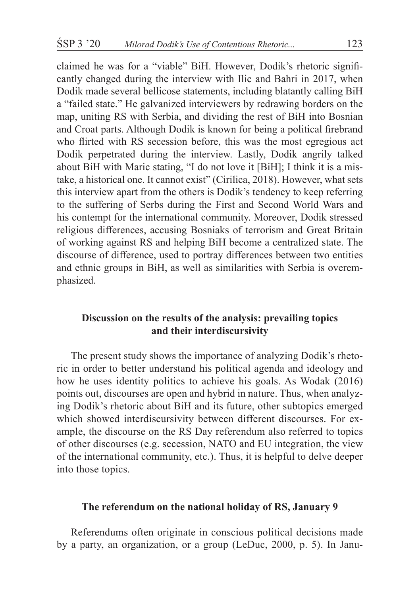claimed he was for a "viable" BiH. However, Dodik's rhetoric significantly changed during the interview with Ilic and Bahri in 2017, when Dodik made several bellicose statements, including blatantly calling BiH a "failed state." He galvanized interviewers by redrawing borders on the map, uniting RS with Serbia, and dividing the rest of BiH into Bosnian and Croat parts. Although Dodik is known for being a political firebrand who flirted with RS secession before, this was the most egregious act Dodik perpetrated during the interview. Lastly, Dodik angrily talked about BiH with Maric stating, "I do not love it [BiH]; I think it is a mistake, a historical one. It cannot exist" (Cirilica, 2018). However, what sets this interview apart from the others is Dodik's tendency to keep referring to the suffering of Serbs during the First and Second World Wars and his contempt for the international community. Moreover, Dodik stressed religious differences, accusing Bosniaks of terrorism and Great Britain of working against RS and helping BiH become a centralized state. The discourse of difference, used to portray differences between two entities and ethnic groups in BiH, as well as similarities with Serbia is overemphasized.

# **Discussion on the results of the analysis: prevailing topics and their interdiscursivity**

The present study shows the importance of analyzing Dodik's rhetoric in order to better understand his political agenda and ideology and how he uses identity politics to achieve his goals. As Wodak (2016) points out, discourses are open and hybrid in nature. Thus, when analyzing Dodik's rhetoric about BiH and its future, other subtopics emerged which showed interdiscursivity between different discourses. For example, the discourse on the RS Day referendum also referred to topics of other discourses (e.g. secession, NATO and EU integration, the view of the international community, etc.). Thus, it is helpful to delve deeper into those topics.

## **The referendum on the national holiday of RS, January 9**

Referendums often originate in conscious political decisions made by a party, an organization, or a group (LeDuc, 2000, p. 5). In Janu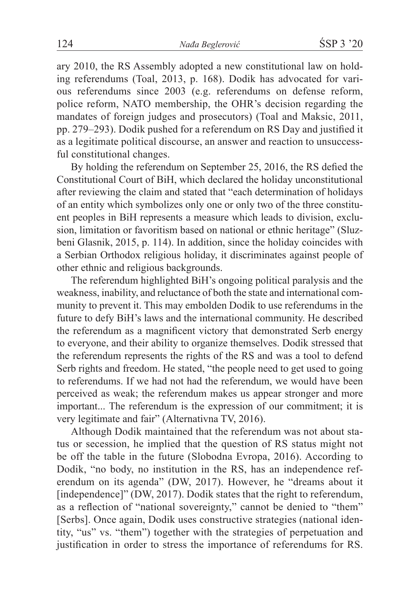ary 2010, the RS Assembly adopted a new constitutional law on holding referendums (Toal, 2013, p. 168). Dodik has advocated for various referendums since 2003 (e.g. referendums on defense reform, police reform, NATO membership, the OHR's decision regarding the mandates of foreign judges and prosecutors) (Toal and Maksic, 2011, pp. 279–293). Dodik pushed for a referendum on RS Day and justified it as a legitimate political discourse, an answer and reaction to unsuccessful constitutional changes.

By holding the referendum on September 25, 2016, the RS defied the Constitutional Court of BiH, which declared the holiday unconstitutional after reviewing the claim and stated that "each determination of holidays of an entity which symbolizes only one or only two of the three constituent peoples in BiH represents a measure which leads to division, exclusion, limitation or favoritism based on national or ethnic heritage" (Sluzbeni Glasnik, 2015, p. 114). In addition, since the holiday coincides with a Serbian Orthodox religious holiday, it discriminates against people of other ethnic and religious backgrounds.

The referendum highlighted BiH's ongoing political paralysis and the weakness, inability, and reluctance of both the state and international community to prevent it. This may embolden Dodik to use referendums in the future to defy BiH's laws and the international community. He described the referendum as a magnificent victory that demonstrated Serb energy to everyone, and their ability to organize themselves. Dodik stressed that the referendum represents the rights of the RS and was a tool to defend Serb rights and freedom. He stated, "the people need to get used to going to referendums. If we had not had the referendum, we would have been perceived as weak; the referendum makes us appear stronger and more important... The referendum is the expression of our commitment; it is very legitimate and fair" (Alternativna TV, 2016).

Although Dodik maintained that the referendum was not about status or secession, he implied that the question of RS status might not be off the table in the future (Slobodna Evropa, 2016). According to Dodik, "no body, no institution in the RS, has an independence referendum on its agenda" (DW, 2017). However, he "dreams about it [independence]" (DW, 2017). Dodik states that the right to referendum, as a reflection of "national sovereignty," cannot be denied to "them" [Serbs]. Once again, Dodik uses constructive strategies (national identity, "us" vs. "them") together with the strategies of perpetuation and justification in order to stress the importance of referendums for RS.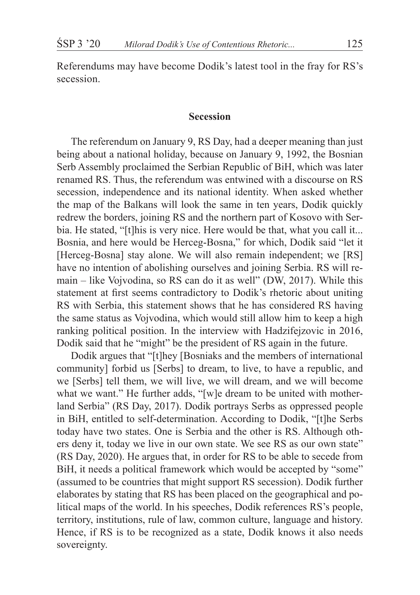Referendums may have become Dodik's latest tool in the fray for RS's secession.

#### **Secession**

The referendum on January 9, RS Day, had a deeper meaning than just being about a national holiday, because on January 9, 1992, the Bosnian Serb Assembly proclaimed the Serbian Republic of BiH, which was later renamed RS. Thus, the referendum was entwined with a discourse on RS secession, independence and its national identity. When asked whether the map of the Balkans will look the same in ten years, Dodik quickly redrew the borders, joining RS and the northern part of Kosovo with Serbia. He stated, "[t]his is very nice. Here would be that, what you call it... Bosnia, and here would be Herceg-Bosna," for which, Dodik said "let it [Herceg-Bosna] stay alone. We will also remain independent; we [RS] have no intention of abolishing ourselves and joining Serbia. RS will remain – like Vojvodina, so RS can do it as well" (DW, 2017). While this statement at first seems contradictory to Dodik's rhetoric about uniting RS with Serbia, this statement shows that he has considered RS having the same status as Vojvodina, which would still allow him to keep a high ranking political position. In the interview with Hadzifejzovic in 2016, Dodik said that he "might" be the president of RS again in the future.

Dodik argues that "[t]hey [Bosniaks and the members of international community] forbid us [Serbs] to dream, to live, to have a republic, and we [Serbs] tell them, we will live, we will dream, and we will become what we want." He further adds, "[w]e dream to be united with motherland Serbia" (RS Day, 2017). Dodik portrays Serbs as oppressed people in BiH, entitled to self-determination. According to Dodik, "[t]he Serbs today have two states. One is Serbia and the other is RS. Although others deny it, today we live in our own state. We see RS as our own state" (RS Day, 2020). He argues that, in order for RS to be able to secede from BiH, it needs a political framework which would be accepted by "some" (assumed to be countries that might support RS secession). Dodik further elaborates by stating that RS has been placed on the geographical and political maps of the world. In his speeches, Dodik references RS's people, territory, institutions, rule of law, common culture, language and history. Hence, if RS is to be recognized as a state, Dodik knows it also needs sovereignty.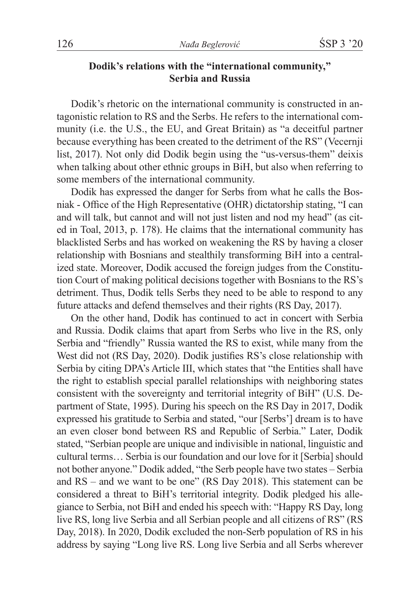# **Dodik's relations with the "international community," Serbia and Russia**

Dodik's rhetoric on the international community is constructed in antagonistic relation to RS and the Serbs. He refers to the international community (i.e. the U.S., the EU, and Great Britain) as "a deceitful partner because everything has been created to the detriment of the RS" (Vecernji list, 2017). Not only did Dodik begin using the "us-versus-them" deixis when talking about other ethnic groups in BiH, but also when referring to some members of the international community.

Dodik has expressed the danger for Serbs from what he calls the Bosniak - Office of the High Representative (OHR) dictatorship stating, "I can and will talk, but cannot and will not just listen and nod my head" (as cited in Toal, 2013, p. 178). He claims that the international community has blacklisted Serbs and has worked on weakening the RS by having a closer relationship with Bosnians and stealthily transforming BiH into a centralized state. Moreover, Dodik accused the foreign judges from the Constitution Court of making political decisions together with Bosnians to the RS's detriment. Thus, Dodik tells Serbs they need to be able to respond to any future attacks and defend themselves and their rights (RS Day, 2017).

On the other hand, Dodik has continued to act in concert with Serbia and Russia. Dodik claims that apart from Serbs who live in the RS, only Serbia and "friendly" Russia wanted the RS to exist, while many from the West did not (RS Day, 2020). Dodik justifies RS's close relationship with Serbia by citing DPA's Article III, which states that "the Entities shall have the right to establish special parallel relationships with neighboring states consistent with the sovereignty and territorial integrity of BiH" (U.S. Department of State, 1995). During his speech on the RS Day in 2017, Dodik expressed his gratitude to Serbia and stated, "our [Serbs'] dream is to have an even closer bond between RS and Republic of Serbia." Later, Dodik stated, "Serbian people are unique and indivisible in national, linguistic and cultural terms… Serbia is our foundation and our love for it [Serbia] should not bother anyone." Dodik added, "the Serb people have two states – Serbia and RS – and we want to be one" (RS Day 2018). This statement can be considered a threat to BiH's territorial integrity. Dodik pledged his allegiance to Serbia, not BiH and ended his speech with: "Happy RS Day, long live RS, long live Serbia and all Serbian people and all citizens of RS" (RS Day, 2018). In 2020, Dodik excluded the non-Serb population of RS in his address by saying "Long live RS. Long live Serbia and all Serbs wherever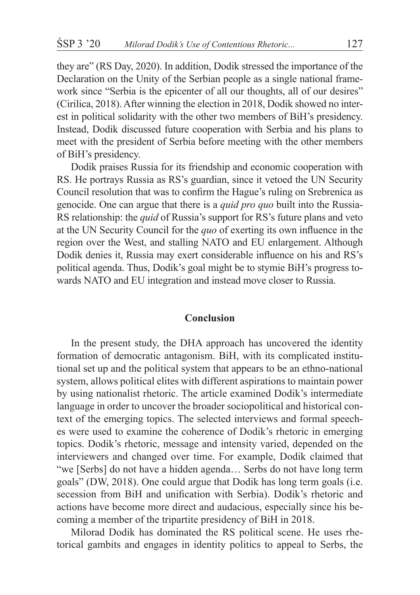they are" (RS Day, 2020). In addition, Dodik stressed the importance of the Declaration on the Unity of the Serbian people as a single national framework since "Serbia is the epicenter of all our thoughts, all of our desires" (Cirilica, 2018). After winning the election in 2018, Dodik showed no interest in political solidarity with the other two members of BiH's presidency. Instead, Dodik discussed future cooperation with Serbia and his plans to meet with the president of Serbia before meeting with the other members of BiH's presidency.

Dodik praises Russia for its friendship and economic cooperation with RS. He portrays Russia as RS's guardian, since it vetoed the UN Security Council resolution that was to confirm the Hague's ruling on Srebrenica as genocide. One can argue that there is a *quid pro quo* built into the Russia-RS relationship: the *quid* of Russia's support for RS's future plans and veto at the UN Security Council for the *quo* of exerting its own influence in the region over the West, and stalling NATO and EU enlargement. Although Dodik denies it, Russia may exert considerable influence on his and RS's political agenda. Thus, Dodik's goal might be to stymie BiH's progress towards NATO and EU integration and instead move closer to Russia.

## **Conclusion**

In the present study, the DHA approach has uncovered the identity formation of democratic antagonism. BiH, with its complicated institutional set up and the political system that appears to be an ethno-national system, allows political elites with different aspirations to maintain power by using nationalist rhetoric. The article examined Dodik's intermediate language in order to uncover the broader sociopolitical and historical context of the emerging topics. The selected interviews and formal speeches were used to examine the coherence of Dodik's rhetoric in emerging topics. Dodik's rhetoric, message and intensity varied, depended on the interviewers and changed over time. For example, Dodik claimed that "we [Serbs] do not have a hidden agenda… Serbs do not have long term goals" (DW, 2018). One could argue that Dodik has long term goals (i.e. secession from BiH and unification with Serbia). Dodik's rhetoric and actions have become more direct and audacious, especially since his becoming a member of the tripartite presidency of BiH in 2018.

Milorad Dodik has dominated the RS political scene. He uses rhetorical gambits and engages in identity politics to appeal to Serbs, the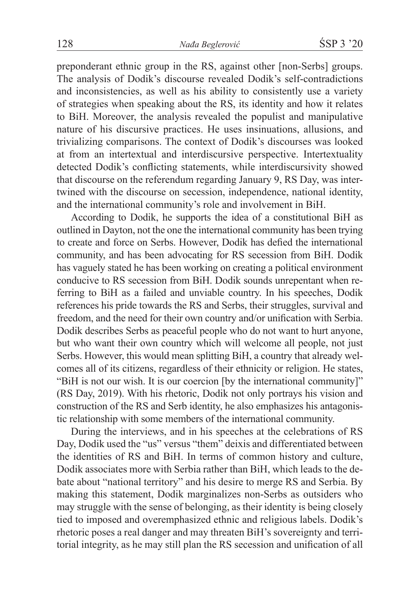preponderant ethnic group in the RS, against other [non-Serbs] groups. The analysis of Dodik's discourse revealed Dodik's self-contradictions and inconsistencies, as well as his ability to consistently use a variety of strategies when speaking about the RS, its identity and how it relates to BiH. Moreover, the analysis revealed the populist and manipulative nature of his discursive practices. He uses insinuations, allusions, and trivializing comparisons. The context of Dodik's discourses was looked at from an intertextual and interdiscursive perspective. Intertextuality detected Dodik's conflicting statements, while interdiscursivity showed that discourse on the referendum regarding January 9, RS Day, was intertwined with the discourse on secession, independence, national identity, and the international community's role and involvement in BiH.

According to Dodik, he supports the idea of a constitutional BiH as outlined in Dayton, not the one the international community has been trying to create and force on Serbs. However, Dodik has defied the international community, and has been advocating for RS secession from BiH. Dodik has vaguely stated he has been working on creating a political environment conducive to RS secession from BiH. Dodik sounds unrepentant when referring to BiH as a failed and unviable country. In his speeches, Dodik references his pride towards the RS and Serbs, their struggles, survival and freedom, and the need for their own country and/or unification with Serbia. Dodik describes Serbs as peaceful people who do not want to hurt anyone, but who want their own country which will welcome all people, not just Serbs. However, this would mean splitting BiH, a country that already welcomes all of its citizens, regardless of their ethnicity or religion. He states, "BiH is not our wish. It is our coercion [by the international community]" (RS Day, 2019). With his rhetoric, Dodik not only portrays his vision and construction of the RS and Serb identity, he also emphasizes his antagonistic relationship with some members of the international community.

During the interviews, and in his speeches at the celebrations of RS Day, Dodik used the "us" versus "them" deixis and differentiated between the identities of RS and BiH. In terms of common history and culture, Dodik associates more with Serbia rather than BiH, which leads to the debate about "national territory" and his desire to merge RS and Serbia. By making this statement, Dodik marginalizes non-Serbs as outsiders who may struggle with the sense of belonging, as their identity is being closely tied to imposed and overemphasized ethnic and religious labels. Dodik's rhetoric poses a real danger and may threaten BiH's sovereignty and territorial integrity, as he may still plan the RS secession and unification of all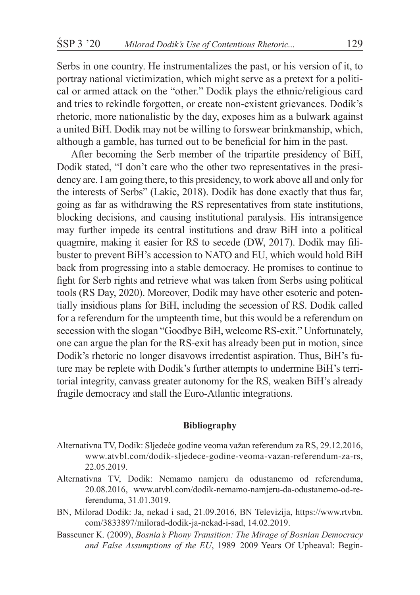Serbs in one country. He instrumentalizes the past, or his version of it, to portray national victimization, which might serve as a pretext for a political or armed attack on the "other." Dodik plays the ethnic/religious card and tries to rekindle forgotten, or create non-existent grievances. Dodik's rhetoric, more nationalistic by the day, exposes him as a bulwark against a united BiH. Dodik may not be willing to forswear brinkmanship, which, although a gamble, has turned out to be beneficial for him in the past.

After becoming the Serb member of the tripartite presidency of BiH, Dodik stated, "I don't care who the other two representatives in the presidency are. I am going there, to this presidency, to work above all and only for the interests of Serbs" (Lakic, 2018). Dodik has done exactly that thus far, going as far as withdrawing the RS representatives from state institutions, blocking decisions, and causing institutional paralysis. His intransigence may further impede its central institutions and draw BiH into a political quagmire, making it easier for RS to secede (DW, 2017). Dodik may filibuster to prevent BiH's accession to NATO and EU, which would hold BiH back from progressing into a stable democracy. He promises to continue to fight for Serb rights and retrieve what was taken from Serbs using political tools (RS Day, 2020). Moreover, Dodik may have other esoteric and potentially insidious plans for BiH, including the secession of RS. Dodik called for a referendum for the umpteenth time, but this would be a referendum on secession with the slogan "Goodbye BiH, welcome RS-exit." Unfortunately, one can argue the plan for the RS-exit has already been put in motion, since Dodik's rhetoric no longer disavows irredentist aspiration. Thus, BiH's future may be replete with Dodik's further attempts to undermine BiH's territorial integrity, canvass greater autonomy for the RS, weaken BiH's already fragile democracy and stall the Euro-Atlantic integrations.

#### **Bibliography**

- Alternativna TV, Dodik: Sljedeće godine veoma važan referendum za RS, 29.12.2016, www.atvbl.com/dodik-sljedece-godine-veoma-vazan-referendum-za-rs, 22.05.2019.
- Alternativna TV, Dodik: Nemamo namjeru da odustanemo od referenduma, 20.08.2016, www.atvbl.com/dodik-nemamo-namjeru-da-odustanemo-od-referenduma, 31.01.3019.
- BN, Milorad Dodik: Ja, nekad i sad, 21.09.2016, BN Televizija, https://www.rtvbn. com/3833897/milorad-dodik-ja-nekad-i-sad, 14.02.2019.
- Basseuner K. (2009), *Bosnia's Phony Transition: The Mirage of Bosnian Democracy and False Assumptions of the EU*, 1989–2009 Years Of Upheaval: Begin-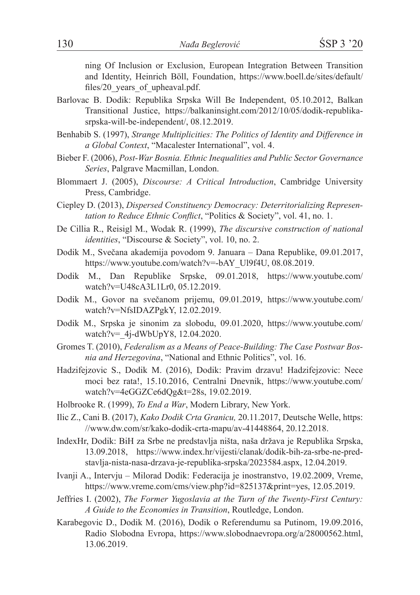ning Of Inclusion or Exclusion, European Integration Between Transition and Identity, Heinrich Böll, Foundation, https://www.boell.de/sites/default/ files/20 years of upheaval.pdf.

- Barlovac B. Dodik: Republika Srpska Will Be Independent, 05.10.2012, Balkan Transitional Justice, https://balkaninsight.com/2012/10/05/dodik-republikasrpska-will-be-independent/, 08.12.2019.
- Benhabib S. (1997), *Strange Multiplicities: The Politics of Identity and Difference in a Global Context*, "Macalester International", vol. 4.
- Bieber F. (2006), *Post-War Bosnia. Ethnic Inequalities and Public Sector Governance Series*, Palgrave Macmillan, London.
- Blommaert J. (2005), *Discourse: A Critical Introduction*, Cambridge University Press, Cambridge.
- Ciepley D. (2013), *Dispersed Constituency Democracy: Deterritorializing Representation to Reduce Ethnic Conflict*, "Politics & Society", vol. 41, no. 1.
- De Cillia R., Reisigl M., Wodak R. (1999), *The discursive construction of national identities*, "Discourse & Society", vol. 10, no. 2.
- Dodik M., Svečana akademija povodom 9. Januara Dana Republike, 09.01.2017, https://www.youtube.com/watch?v=-bAY\_Ul9f4U, 08.08.2019.
- Dodik M., Dan Republike Srpske, 09.01.2018, https://www.youtube.com/ watch?v=U48cA3L1Lr0, 05.12.2019.
- Dodik M., Govor na svečanom prijemu, 09.01.2019, https://www.youtube.com/ watch?v=NfsIDAZPgkY, 12.02.2019.
- Dodik M., Srpska je sinonim za slobodu, 09.01.2020, https://www.youtube.com/ watch?v= 4j-dWbUpY8, 12.04.2020.
- Gromes T. (2010), *Federalism as a Means of Peace-Building: The Case Postwar Bosnia and Herzegovina*, "National and Ethnic Politics", vol. 16.
- Hadzifejzovic S., Dodik M. (2016), Dodik: Pravim drzavu! Hadzifejzovic: Nece moci bez rata!, 15.10.2016, Centralni Dnevnik, https://www.youtube.com/ watch?v=4eGGZCe6dQg&t=28s, 19.02.2019.
- Holbrooke R. (1999), *To End a War*, Modern Library, New York.
- Ilic Z., Cani B. (2017), *Kako Dodik Crta Granicu,* 20.11.2017, Deutsche Welle, https: //www.dw.com/sr/kako-dodik-crta-mapu/av-41448864, 20.12.2018.
- IndexHr, Dodik: BiH za Srbe ne predstavlja ništa, naša država je Republika Srpska, 13.09.2018, https://www.index.hr/vijesti/clanak/dodik-bih-za-srbe-ne-predstavlja-nista-nasa-drzava-je-republika-srpska/2023584.aspx, 12.04.2019.
- Ivanji A., Intervju Milorad Dodik: Federacija je inostranstvo, 19.02.2009, Vreme, https://www.vreme.com/cms/view.php?id=825137&print=yes, 12.05.2019.
- Jeffries I. (2002), *The Former Yugoslavia at the Turn of the Twenty-First Century: A Guide to the Economies in Transition*, Routledge, London.
- Karabegovic D., Dodik M. (2016), Dodik o Referendumu sa Putinom, 19.09.2016, Radio Slobodna Evropa, https://www.slobodnaevropa.org/a/28000562.html, 13.06.2019.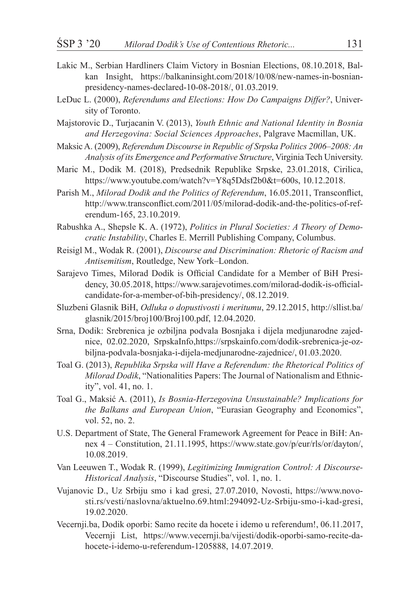- Lakic M., Serbian Hardliners Claim Victory in Bosnian Elections, 08.10.2018, Balkan Insight, https://balkaninsight.com/2018/10/08/new-names-in-bosnianpresidency-names-declared-10-08-2018/, 01.03.2019.
- LeDuc L. (2000), *Referendums and Elections: How Do Campaigns Differ?*, University of Toronto.
- Majstorovic D., Turjacanin V. (2013), *Youth Ethnic and National Identity in Bosnia and Herzegovina: Social Sciences Approaches*, Palgrave Macmillan, UK.
- Maksic A. (2009), *Referendum Discourse in Republic of Srpska Politics 2006–2008: An Analysis of its Emergence and Performative Structure*, Virginia Tech University.
- Maric M., Dodik M. (2018), Predsednik Republike Srpske, 23.01.2018, Cirilica, https://www.youtube.com/watch?v=Y8q5Ddsf2b0&t=600s, 10.12.2018.
- Parish M., *Milorad Dodik and the Politics of Referendum*, 16.05.2011, Transconflict, http://www.transconflict.com/2011/05/milorad-dodik-and-the-politics-of-referendum-165, 23.10.2019.
- Rabushka A., Shepsle K. A. (1972), *Politics in Plural Societies: A Theory of Democratic Instability*, Charles E. Merrill Publishing Company, Columbus.
- Reisigl M., Wodak R. (2001), *Discourse and Discrimination: Rhetoric of Racism and Antisemitism*, Routledge, New York–London.
- Sarajevo Times, Milorad Dodik is Official Candidate for a Member of BiH Presidency, 30.05.2018, https://www.sarajevotimes.com/milorad-dodik-is-officialcandidate-for-a-member-of-bih-presidency/, 08.12.2019.
- Sluzbeni Glasnik BiH, *Odluka o dopustivosti i meritumu*, 29.12.2015, http://sllist.ba/ glasnik/2015/broj100/Broj100.pdf, 12.04.2020.
- Srna, Dodik: Srebrenica je ozbiljna podvala Bosnjaka i dijela medjunarodne zajednice, 02.02.2020, SrpskaInfo,https://srpskainfo.com/dodik-srebrenica-je-ozbiljna-podvala-bosnjaka-i-dijela-medjunarodne-zajednice/, 01.03.2020.
- Toal G. (2013), *Republika Srpska will Have a Referendum: the Rhetorical Politics of Milorad Dodik*, "Nationalities Papers: The Journal of Nationalism and Ethnicity", vol. 41, no. 1.
- Toal G., Maksić A. (2011), *Is Bosnia-Herzegovina Unsustainable? Implications for the Balkans and European Union*, "Eurasian Geography and Economics", vol. 52, no. 2.
- U.S. Department of State, The General Framework Agreement for Peace in BiH: Annex 4 – Constitution, 21.11.1995, https://www.state.gov/p/eur/rls/or/dayton/, 10.08.2019.
- Van Leeuwen T., Wodak R. (1999), *Legitimizing Immigration Control: A Discourse-Historical Analysis*, "Discourse Studies", vol. 1, no. 1.
- Vujanovic D., Uz Srbiju smo i kad gresi, 27.07.2010, Novosti, https://www.novosti.rs/vesti/naslovna/aktuelno.69.html:294092-Uz-Srbiju-smo-i-kad-gresi, 19.02.2020.
- Vecernji.ba, Dodik oporbi: Samo recite da hocete i idemo u referendum!, 06.11.2017, Vecernji List, https://www.vecernji.ba/vijesti/dodik-oporbi-samo-recite-dahocete-i-idemo-u-referendum-1205888, 14.07.2019.